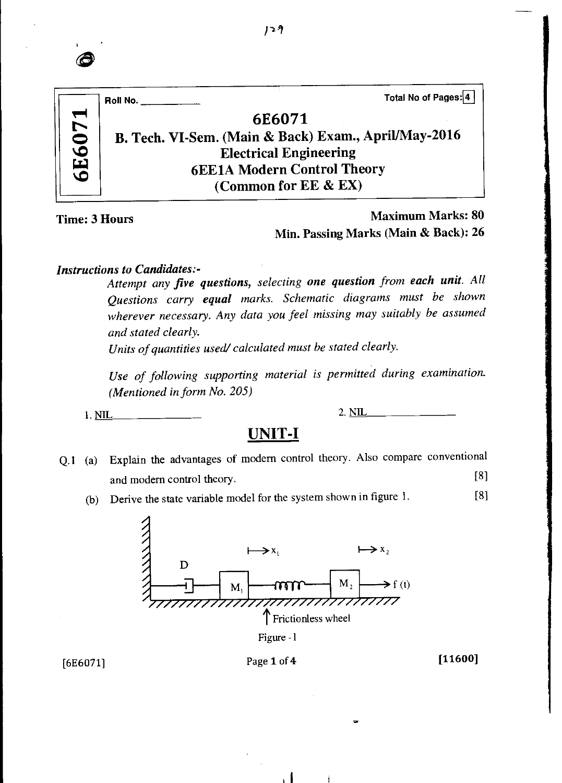| Total No of Pages: 4<br>Roll No.                     |
|------------------------------------------------------|
| 6E6071                                               |
| B. Tech. VI-Sem. (Main & Back) Exam., April/May-2016 |
| <b>Electrical Engineering</b>                        |
| <b>6EE1A Modern Control Theory</b>                   |
| (Common for EE & EX)                                 |
|                                                      |

### Time: 3 Hours *Maximum* Marks: 80 Min. Passing Marks (Main & Back): 26

#### *Instructions to Candidates:-*

*Attempt any five questions, selecting one question from each unit. All Questions carry equal marks. Schematic diagrams must be shown wherever necessary. Any data you feel missing may suitably be assumed and stated clearly.* 

*Units of quantities used/ calculated must be stated clearly.* 

*Use of following supporting material is permitted during examination. (Mentioned in form No. 205)* 

1. <u>NIL 2. NIL</u>

### **UNIT-I**

- Q.1 (a) Explain the advantages of modem control theory. Also compare conventional and modern control theory. [8]
	- (b) Derive the state variable model for the system shown in figure 1. [8]



Figure - I

 $\mathbf{A}$ 

### $[6E6071]$  Page 1 of 4 [11600]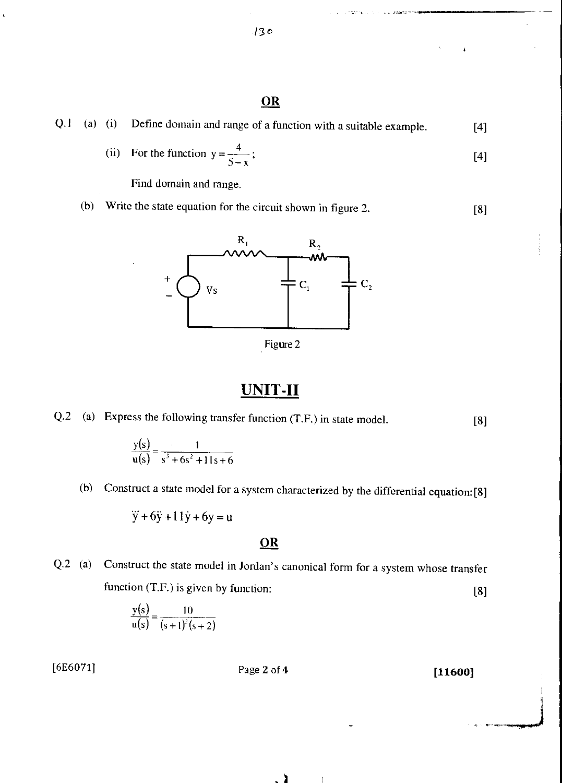### **OR**

|  |  |  | $Q.1$ (a) (i) Define domain and range of a function with a suitable example. | $[4]$ |
|--|--|--|------------------------------------------------------------------------------|-------|
|--|--|--|------------------------------------------------------------------------------|-------|

(ii) For the function 
$$
y = \frac{4}{5-x}
$$
; [4]

nessiano.

Find domain and range.

(b) Write the state equation for the circuit shown in figure 2. [8]



Figure 2

### UNIT-II

Q.2 (a) Express the following transfer function (T.F.) in state model. [8]

$$
\frac{y(s)}{u(s)} = \frac{1}{s^3 + 6s^2 + 11s + 6}
$$

(b) Construct a state model for a system characterized by the differential equation: [8]

 $\ddot{y} + 6\ddot{y} + 11\dot{y} + 6y = u$ 

### **OR**

Q.2 (a) Construct the state model in Jordan's canonical form for a system whose transfer function (T.F.) is given by function:  $[8]$ 

$$
\frac{y(s)}{u(s)} = \frac{10}{(s+1)^2(s+2)}
$$

 $[6E6071]$  Page 2 of 4 [11600]

$$
130\,
$$



 $\sim$  1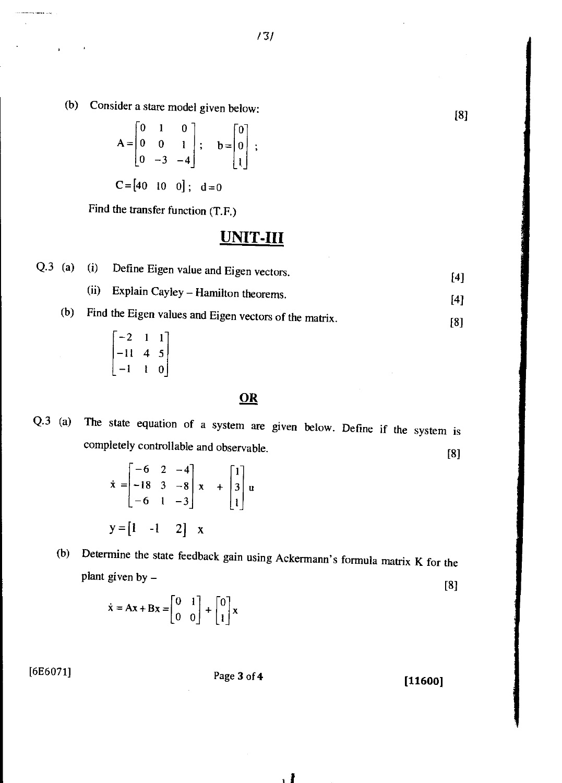(b) Consider a stare model given below: [8]

$$
A = \begin{bmatrix} 0 & 1 & 0 \\ 0 & 0 & 1 \\ 0 & -3 & -4 \end{bmatrix}; \quad b = \begin{bmatrix} 0 \\ 0 \\ 1 \end{bmatrix};
$$

 $C = [40 \ 10 \ 0]; \ d = 0$ 

Find the transfer function (T.F.)

# **UNIT-III**

|  | $Q.3$ (a) (i) Define Eigen value and Eigen vectors. | [4] |
|--|-----------------------------------------------------|-----|
|  | (ii) Explain Cayley – Hamilton theorems.            | [4] |
|  |                                                     |     |

- (b) Find the Eigen values and Eigen vectors of the matrix. [8]
	- —2 1 1 —11 4 5 —1 1 0\_

#### OR

Q.3 (a) The state equation of a system are given below. Define if the system is completely controllable and observable. [8]

| $\dot{x} = \begin{bmatrix} -6 & 2 & -4 \\ -18 & 3 & -8 \\ -6 & 1 & -3 \end{bmatrix} x + \begin{bmatrix} 1 \\ 3 \\ 1 \end{bmatrix} u$ |  |  |  |
|--------------------------------------------------------------------------------------------------------------------------------------|--|--|--|
| $y = \begin{bmatrix} 1 & -1 & 2 \end{bmatrix}$ x                                                                                     |  |  |  |

(b) Determine the state feedback gain using Ackermann's formula matrix K for the plant given by — [8]

$$
\dot{\mathbf{x}} = \mathbf{A}\mathbf{x} + \mathbf{B}\mathbf{x} = \begin{bmatrix} 0 & 1 \\ 0 & 0 \end{bmatrix} + \begin{bmatrix} 0 \\ 1 \end{bmatrix} \mathbf{x}
$$

[6E6071] Page 3 of **4 [11600]**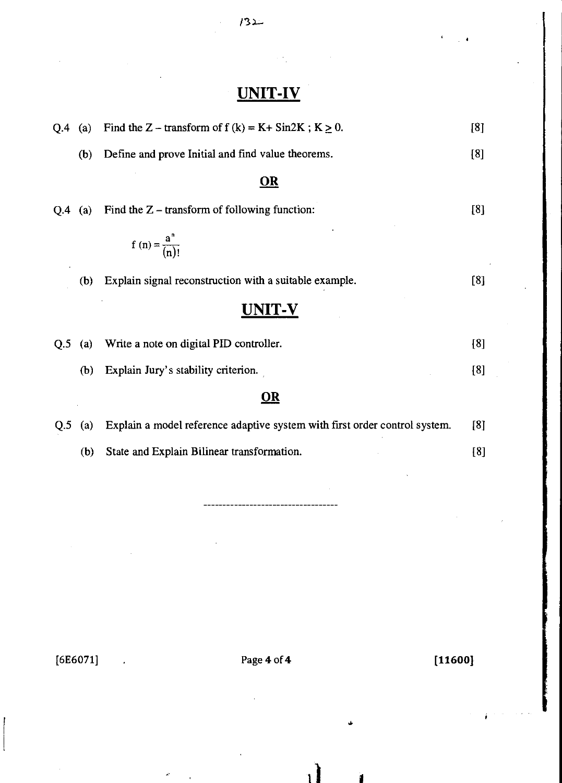# **UNIT-IV**

| Q.4 | (a)               | Find the Z – transform of $f(k) = K + \sin 2K$ ; $K \ge 0$ .               | [8] |
|-----|-------------------|----------------------------------------------------------------------------|-----|
|     | (b)               | Define and prove Initial and find value theorems.                          | [8] |
|     |                   | <u>OR</u>                                                                  |     |
| Q.4 | (a)               | Find the $Z$ – transform of following function:                            | [8] |
|     |                   | f (n) = $\frac{a^{n}}{(n)!}$                                               |     |
|     | (b)               | Explain signal reconstruction with a suitable example.                     | [8] |
|     |                   | UNIT-V                                                                     |     |
| Q.5 | (a)               | Write a note on digital PID controller.                                    | [8] |
|     | (b)               | Explain Jury's stability criterion.                                        | [8] |
|     |                   | $\underline{\mathbf{OR}}$                                                  |     |
| Q.5 | $\left( a\right)$ | Explain a model reference adaptive system with first order control system. | [8] |
|     | (b)               | State and Explain Bilinear transformation.                                 | [8] |
|     |                   |                                                                            |     |
|     |                   |                                                                            |     |

 $[6E6071]$  . Page 4 of 4 [11600]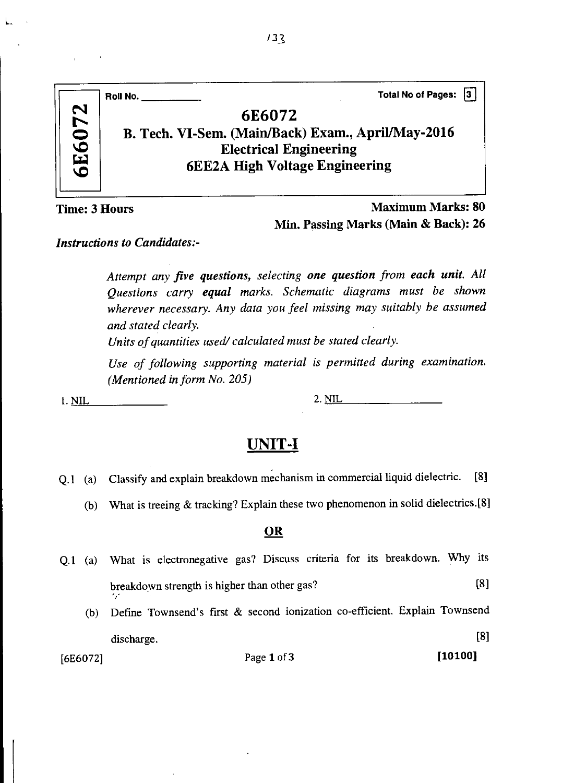|           | Total No of Pages: 3<br>Roll No.                                                    |
|-----------|-------------------------------------------------------------------------------------|
| 6072      | 6E6072                                                                              |
|           | B. Tech. VI-Sem. (Main/Back) Exam., April/May-2016<br><b>Electrical Engineering</b> |
| <b>GE</b> | <b>6EE2A High Voltage Engineering</b>                                               |
|           |                                                                                     |

L.

*Maximum* **Marks: 80 Min. Passing Marks (Main & Back): 26** 

#### *Instructions to Candidates:-*

*Attempt any five questions, selecting one question from each unit. All Questions carry equal marks. Schematic diagrams must be shown wherever necessary. Any data you feel missing may suitably be assumed and stated clearly.* 

*Units of quantities used/ calculated must be stated clearly.* 

*Use of following supporting material is permitted during examination. (Mentioned in form No. 205)* 

**1. NIL 2. NIL** 

### **UNIT-I**

- Q.1 (a) Classify and explain breakdown mechanism in commercial liquid dielectric. [8]
	- (b) What is treeing & tracking? Explain these two phenomenon in solid dielectrics.[8]

#### **OR**

- Q.1 (a) What is electronegative gas? Discuss criteria for its breakdown. Why its breakdown strength is higher than other gas? [8]
	- (b) Define Townsend's first & second ionization co-efficient. Explain Townsend discharge. [8]

 $[6E6072]$  Page 1 of 3 [10100]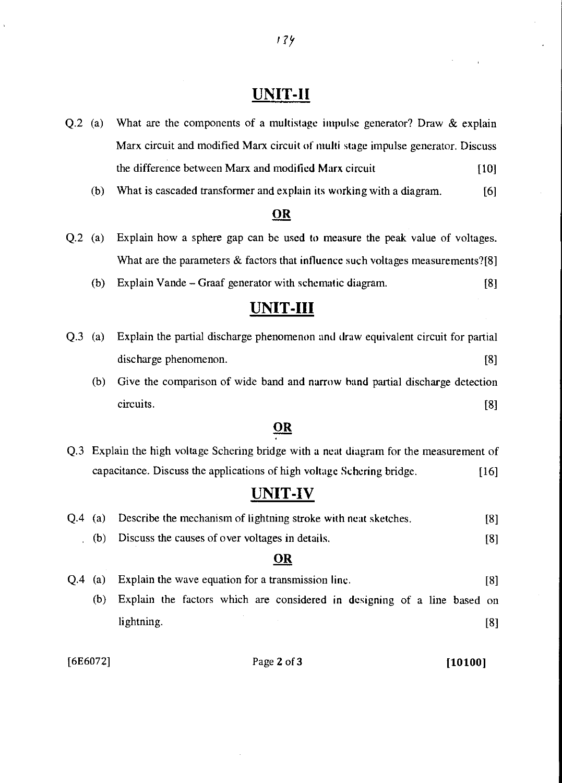### **UNIT-II**

- Q.2 (a) What are the components of a multistage impulse generator? Draw & explain Marx circuit and modified Marx circuit of multi stage impulse generator. Discuss the difference between Marx and modified Marx circuit [10]
	- (b) What is cascaded transformer and explain its working with a diagram. [6]

#### **OR**

- Q.2 (a) Explain how a sphere gap can be used to measure the peak value of voltages. What are the parameters & factors that influence such voltages measurements?[8]
	- (b) Explain Vande Graaf generator with schematic diagram. [8]

### **UNIT-III**

| Q.3 (a) Explain the partial discharge phenomenon and draw equivalent circuit for partial |  |
|------------------------------------------------------------------------------------------|--|
| discharge phenomenon.                                                                    |  |
| Cive the comparison of wide hand and normy hand partial discharge detection              |  |

(b) Give the comparison of wide band and narrow hand partial discharge detection circuits. [8]

#### **OR**

Q.3 Explain the high voltage Schering bridge with a neat diagram for the measurement of capacitance. Discuss the applications of high voltage Schering bridge. [16]

### **UNIT-IV**

|     | OR                                                                     |     |
|-----|------------------------------------------------------------------------|-----|
| (b) | Discuss the causes of over voltages in details.                        | [8] |
|     | Q.4 (a) Describe the mechanism of lightning stroke with neat sketches. | [8] |

# Q.4 (a) Explain the wave equation for a transmission line. [8] (b) Explain the factors which are considered in designing of a line based on lightning. [8]

[6E6072] Page 2 of 3 [10100]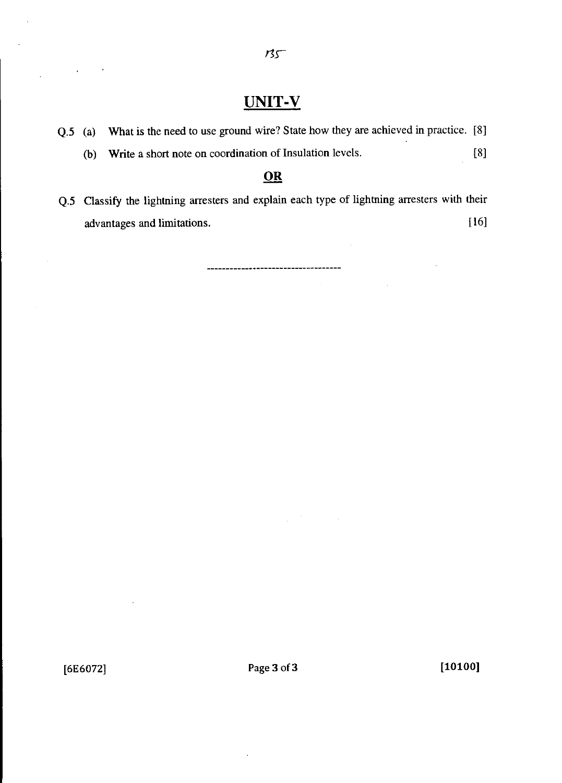### UNIT-V

- Q.5 (a) What is the need to use ground wire? State how they are achieved in practice. [8] (b) Write a short note on coordination of Insulation levels. [8] **OR**
- Q.5 Classify the lightning arresters and explain each type of lightning arresters with their advantages and limitations. [16]

----------\*\*\*--------------\*\*\*----

 $\sim$   $\alpha$ 

 $\mathcal{O}(\mathcal{O}_\mathcal{O})$  . The set of  $\mathcal{O}_\mathcal{O}$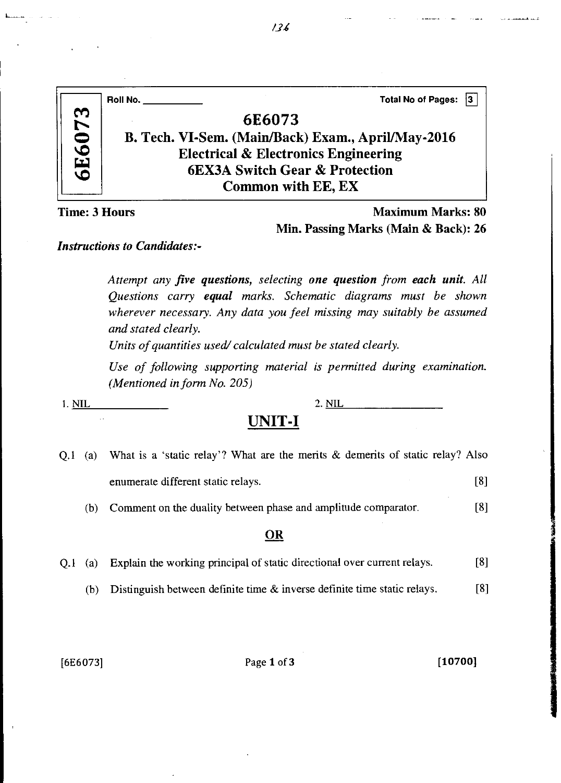|          | <b>Total No of Pages:</b><br>13<br>Roll No.        |  |
|----------|----------------------------------------------------|--|
| 073      | 6E6073                                             |  |
|          | B. Tech. VI-Sem. (Main/Back) Exam., April/May-2016 |  |
| 9<br>يتا | <b>Electrical &amp; Electronics Engineering</b>    |  |
| vo       | <b>6EX3A Switch Gear &amp; Protection</b>          |  |
|          | <b>Common with EE, EX</b>                          |  |

### Maximum Marks: 80 Min. Passing Marks (Main & Back): 26

#### *Instructions to Candidates:-*

*Attempt any five questions, selecting one question from each unit. All Questions carry equal marks. Schematic diagrams must be shown wherever necessary. Any data you feel missing may suitably be assumed and stated clearly.* 

*Units of quantities used/ calculated must be stated clearly.* 

*Use of following supporting material is permitted during examination. (Mentioned in form No. 205)* 

 $\hat{\alpha}$  .

1. NIL 2. NIL

### **UNIT-I**

|     | Q.1 (a) What is a 'static relay'? What are the merits & demerits of static relay? Also |     |
|-----|----------------------------------------------------------------------------------------|-----|
|     | enumerate different static relays.                                                     | [8] |
| (b) | Comment on the duality between phase and amplitude comparator.                         | Г81 |

#### **OR**

| Q.1 (a) Explain the working principal of static directional over current relays. | [8] |
|----------------------------------------------------------------------------------|-----|
|----------------------------------------------------------------------------------|-----|

(b) Distinguish between definite time & inverse definite time static relays. [8]

[6E6073] Page 1 of 3 [10700]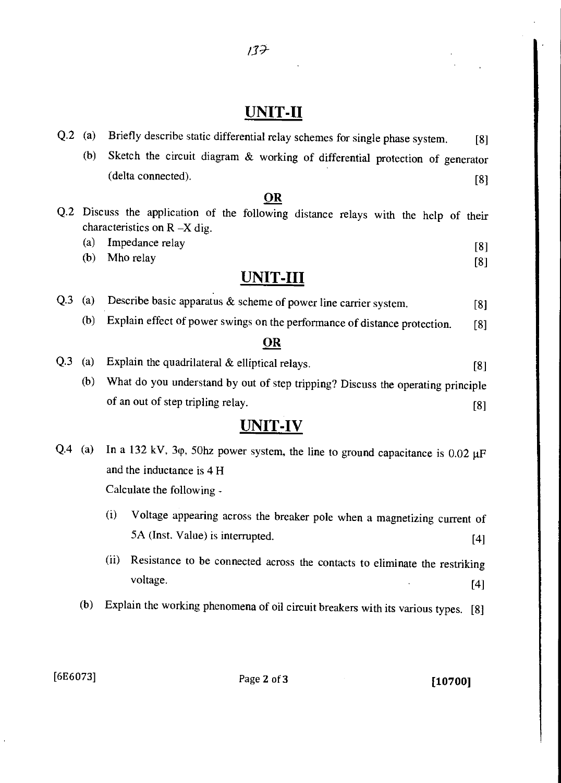$137$ 

# UNIT-II

|     | Briefly describe static differential relay schemes for single phase system.<br>[8]                                     |
|-----|------------------------------------------------------------------------------------------------------------------------|
| (b) | Sketch the circuit diagram & working of differential protection of generator                                           |
|     | (delta connected).<br>[8]                                                                                              |
|     | OR                                                                                                                     |
|     | Q.2 Discuss the application of the following distance relays with the help of their<br>characteristics on $R - X$ dig. |
| (a) | Impedance relay<br>[8]                                                                                                 |
| (b) | Mho relay<br>[8]                                                                                                       |
|     | <b>UNIT-III</b>                                                                                                        |
| (a) | Describe basic apparatus & scheme of power line carrier system.<br>[8]                                                 |
| (b) | Explain effect of power swings on the performance of distance protection.<br>[8]                                       |
|     | <u>OR</u>                                                                                                              |
| (a) | Explain the quadrilateral & elliptical relays.<br>[8]                                                                  |
| (b) | What do you understand by out of step tripping? Discuss the operating principle                                        |
|     | of an out of step tripling relay.<br>[8]                                                                               |
|     | <b>UNIT-IV</b>                                                                                                         |
| (a) | In a 132 kV, 3 $\varphi$ , 50hz power system, the line to ground capacitance is 0.02 $\mu$ F                           |
|     | and the inductance is 4 H                                                                                              |
|     | Calculate the following -                                                                                              |
|     | (i)<br>Voltage appearing across the breaker pole when a magnetizing current of                                         |
|     | 5A (Inst. Value) is interrupted.<br>[4]                                                                                |
|     | (a)                                                                                                                    |

- (ii) Resistance to be connected across the contacts to eliminate the restriking voltage. [4]
- (b) Explain the working phenomena of oil circuit breakers with its various types. [8]

[6E6073] Page **2** of **3 [10700]**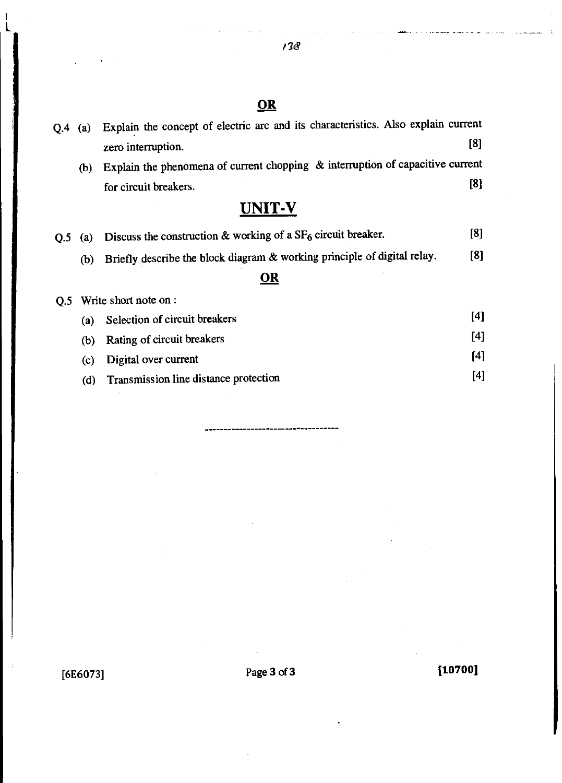### **OR**

| $Q.4$ (a) |     | Explain the concept of electric arc and its characteristics. Also explain current |       |
|-----------|-----|-----------------------------------------------------------------------------------|-------|
|           |     | zero interruption.                                                                | [8]   |
|           | (b) | Explain the phenomena of current chopping $\&$ interruption of capacitive current |       |
|           |     | for circuit breakers.                                                             | [8]   |
|           |     | <b>UNIT-V</b>                                                                     |       |
| Q.5       | (a) | Discuss the construction & working of a SF <sub>6</sub> circuit breaker.          | [8]   |
|           | (b) | Briefly describe the block diagram & working principle of digital relay.          | [8]   |
|           |     | OR                                                                                |       |
| Q.5       |     | Write short note on :                                                             |       |
|           | (a) | Selection of circuit breakers                                                     | $[4]$ |
|           | (b) | Rating of circuit breakers                                                        | [4]   |
|           | (c) | Digital over current                                                              | $[4]$ |

(d) Transmission line distance protection [4]

[6E6073] Page 3 of 3 [10700]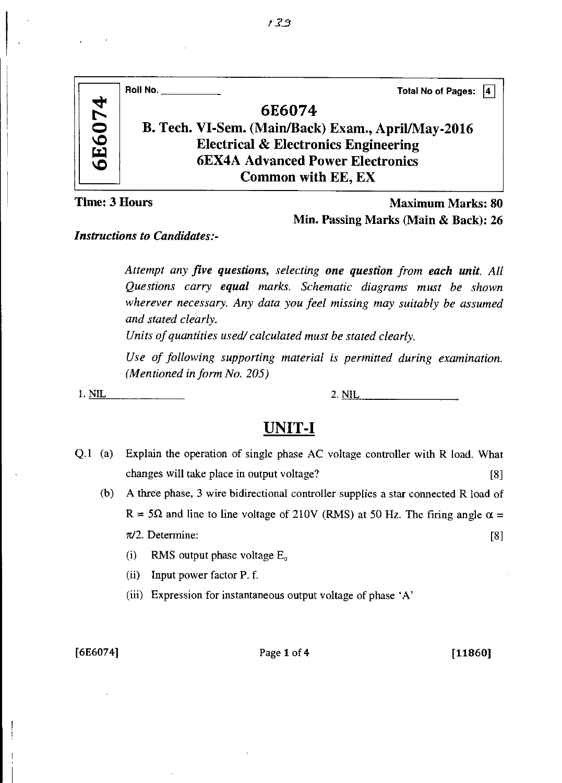|        | Roll No.<br>Total No of Pages: 4                   |
|--------|----------------------------------------------------|
| 6E6074 | 6E6074                                             |
|        | B. Tech. VI-Sem. (Main/Back) Exam., April/May-2016 |
|        | <b>Electrical &amp; Electronics Engineering</b>    |
|        | <b>6EX4A Advanced Power Electronics</b>            |
|        | Common with EE, EX                                 |

Maximum Marks: 80 Min. Passing Marks (Main & Back): 26

*Instructions to Candidates:-* 

*Attempt any five questions, selecting one question from each unit. All Questions carry equal marks. Schematic diagrams must be shown wherever necessary. Any data you feel missing may suitably be assumed and stated clearly.* 

*Units of quantities used/ calculated must be stated clearly.* 

*Use of following supporting material is permitted during examination. (Mentioned in form No. 205)* 

**1. NIL 2. NIL** 

## **UNIT-I**

Q.1 (a) Explain the operation of single phase AC voltage controller with R load. What changes will take place in output voltage? [8]

(b) A three phase, 3 wire bidirectional controller supplies a star connected R load of R = 5 $\Omega$  and line to line voltage of 210V (RMS) at 50 Hz. The firing angle  $\alpha = \pi/2$ . Determine: [8]

- (i) RMS output phase voltage  $E_0$
- (ii) Input power factor P. f.
- (iii) Expression for instantaneous output voltage of phase 'A'

#### [6E6074] Page 1 of **4 [11860]**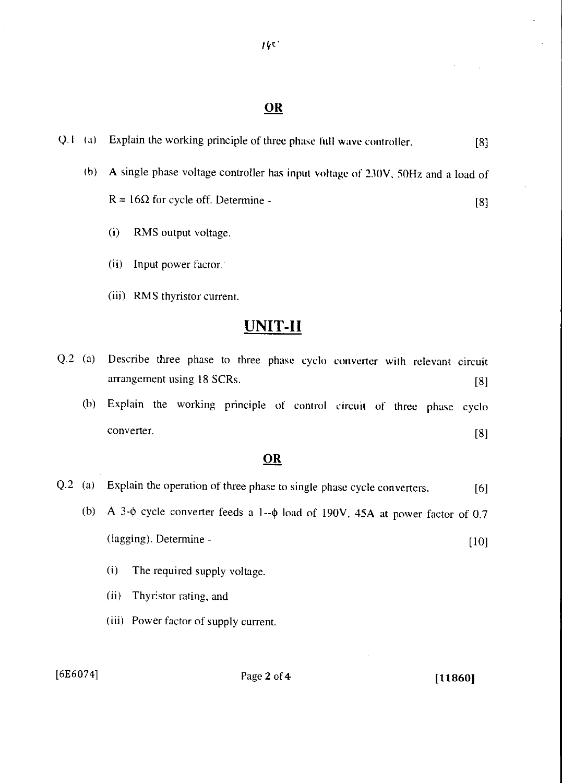#### **OR**

Q. I (a) Explain the working principle of three phase full wave controller. [8] (b) A single phase voltage controller has input voltage of 230V, 50Hz and a load of  $R = 16\Omega$  for cycle off. Determine - [8] (i) RMS output voltage. (ii) Input power factor. (iii) RMS thyristor current.

### **UNIT-11**

|     | $Q.2$ (a) Describe three phase to three phase cyclo converter with relevant circuit |  |  |  |  |  |     |
|-----|-------------------------------------------------------------------------------------|--|--|--|--|--|-----|
|     | arrangement using 18 SCRs.                                                          |  |  |  |  |  | [8] |
| (b) | Explain the working principle of control circuit of three phase cyclo               |  |  |  |  |  |     |
|     | converter.                                                                          |  |  |  |  |  | [8] |

### **OR**

| $Q.2$ (a) | Explain the operation of three phase to single phase cycle converters.                      | [6]  |
|-----------|---------------------------------------------------------------------------------------------|------|
|           | (b) A 3- $\phi$ cycle converter feeds a 1-- $\phi$ load of 190V, 45A at power factor of 0.7 |      |
|           | (lagging). Determine -                                                                      | [10] |
|           |                                                                                             |      |

- (i) The required supply voltage.
- (ii) Thyristor rating, and
- ( iii) Power factor of supply current.

[6E6074] Page 2 of 4 [11860]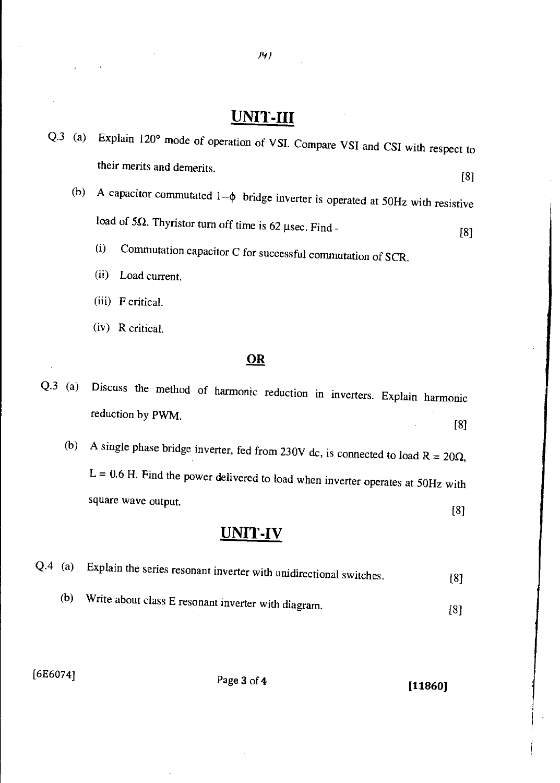# **UNIT-III**

*Pi/* 

| $Q.3$ (a) |     | Explain 120° mode of operation of VSI. Compare VSI and CSI with respect to              |     |
|-----------|-----|-----------------------------------------------------------------------------------------|-----|
|           |     | their merits and demerits.                                                              | [8] |
|           | (b) | A capacitor commutated $1-\phi$ bridge inverter is operated at 50Hz with resistive      |     |
|           |     | load of $5\Omega$ . Thyristor turn off time is 62 µsec. Find -                          | [8] |
|           |     | (i)<br>Commutation capacitor C for successful commutation of SCR.                       |     |
|           |     | (ii)<br>Load current.                                                                   |     |
|           |     | (iii) F critical.                                                                       |     |
|           |     | (iv) R critical.                                                                        |     |
|           |     | $\underline{\mathbf{OR}}$                                                               |     |
| Q.3       | (a) | Discuss the method of harmonic reduction in inverters. Explain harmonic                 |     |
|           |     | reduction by PWM.<br>[8]                                                                |     |
|           | (b) | A single phase bridge inverter, fed from 230V dc, is connected to load $R = 20\Omega$ , |     |
|           |     | $L = 0.6$ H. Find the power delivered to load when inverter operates at 50Hz with       |     |
|           |     | square wave output.<br>[8]                                                              |     |
|           |     | UNIT-IV                                                                                 |     |
|           |     |                                                                                         |     |

|     | $\leftrightarrow$ (a) explain the series resonant inverter with unidirectional switches. | [8] |
|-----|------------------------------------------------------------------------------------------|-----|
| (b) | $\mathcal{L}$ Write about class E resonant inverter with diagram.                        |     |

[6E6074] Page 3 of **4 [11860]**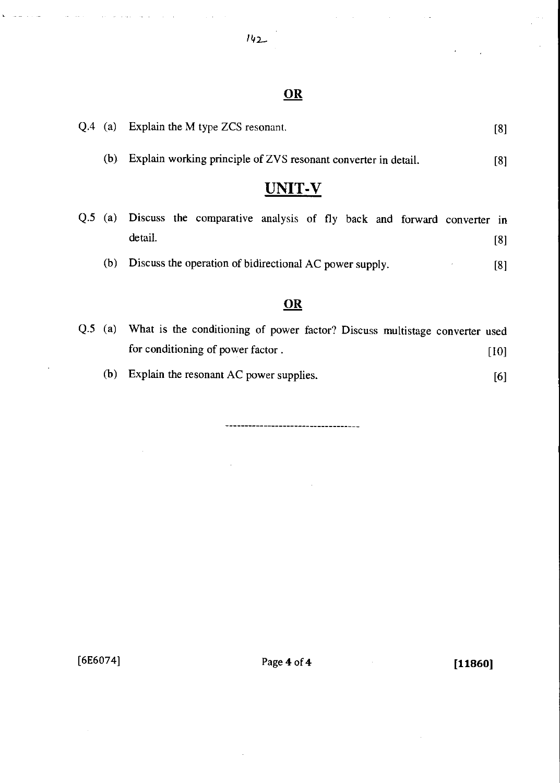#### *142—*

 $\mathbb{R}^2$  $\mathbb{R}^2$   $\mathbb{R}^2$ 

### **OR**

|           | Q.4 (a) Explain the M type ZCS resonant.                                                 | [8]  |
|-----------|------------------------------------------------------------------------------------------|------|
| (b)       | Explain working principle of ZVS resonant converter in detail.                           | [8]  |
|           | <b>UNIT-V</b>                                                                            |      |
|           | Q.5 (a) Discuss the comparative analysis of fly back and forward converter in<br>detail. | [8]  |
| (b)       | Discuss the operation of bidirectional AC power supply.                                  | [8]  |
|           | <b>OR</b>                                                                                |      |
| $Q.5$ (a) | What is the conditioning of power factor? Discuss multistage converter used              |      |
|           | for conditioning of power factor.                                                        | [10] |

(b) Explain the resonant AC power supplies. [6]

---------------------------

 $\ddot{\phantom{0}}$ 

[6E6074] Page **4** of **4 [11860]** 

 $\bar{z}$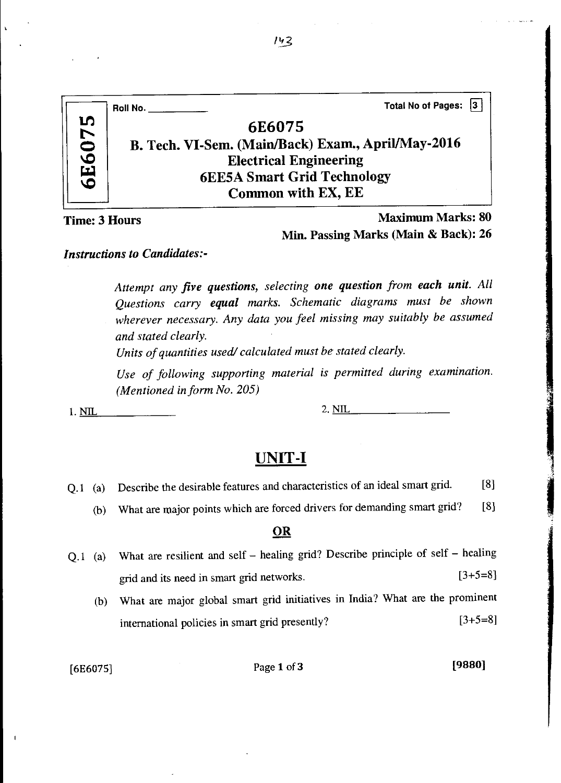|               | Total No of Pages: 3<br>Roll No.                   |
|---------------|----------------------------------------------------|
| <b>6E6075</b> | 6E6075                                             |
|               | B. Tech. VI-Sem. (Main/Back) Exam., April/May-2016 |
|               | <b>Electrical Engineering</b>                      |
|               | <b>6EE5A Smart Grid Technology</b>                 |
|               | Common with EX, EE                                 |

*Maximum* Marks: 80 Min. Passing Marks (Main & Back): 26

#### *Instructions to Candidates:-*

*Attempt any five questions, selecting one question from each unit. All Questions carry equal marks. Schematic diagrams must be shown wherever necessary. Any data you feel missing may suitably be assumed and stated clearly.* 

*Units of quantities used/ calculated must be stated clearly.* 

*Use of following supporting material is permitted during examination. (Mentioned in form No. 205)* 

1. <u>NIL 2. NIL</u>

### **UNIT-I**

- Q.1 (a) Describe the desirable features and characteristics of an ideal smart grid. [8]
	- (b) What are major points which are forced drivers for demanding smart grid? [8]

#### OR

- Q.1 (a) What are resilient and self healing grid? Describe principle of self healing grid and its need in smart grid networks.  $[3+5=8]$ 
	- (b) What are major global smart grid initiatives in India? What are the prominent international policies in smart grid presently?  $[3+5=8]$

### $[6E6075]$  Page 1 of 3 [9880]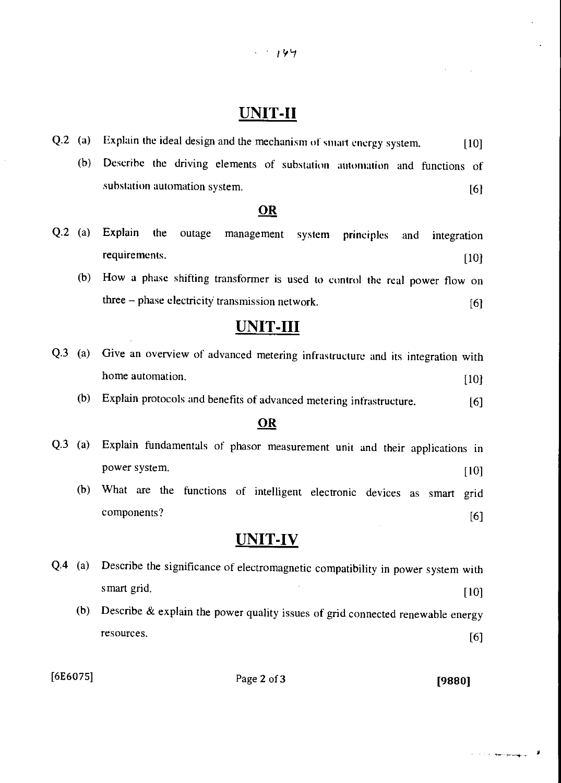# UNIT-II

- Q.2 (a) Explain the ideal design and the mechanism of smart energy system. [10]
	- (b) Describe the driving elements of substation automation and functions of substation automation system. [6]

#### **OR**

- Q.2 (a) Explain the outage management system principles and integration requirements. [10]
	- (b) How a phase shifting transformer is used to control the real power flow on three  $-$  phase electricity transmission network.  $[6]$

### UNIT-III

- Q.3 (a) Give an overview of advanced metering infrastructure and its integration with home automation. [10] [10]
	- (b) Explain protocols and benefits of advanced metering infrastructure. [6]

### **OR**

- Q.3 (a) Explain fundamentals of phasor measurement unit and their applications in power system. [10] [10] (b) What are the functions of intelligent electronic devices as smart grid
	- components? [6]

### UNIT-IV

Q.4 (a) Describe the significance of electromagnetic compatibility in power system with smart grid. [10] (b) Describe & explain the power quality issues of grid connected renewable energy resources.  $[6]$ 

 $[6E6075]$  Page 2 of 3 [9880]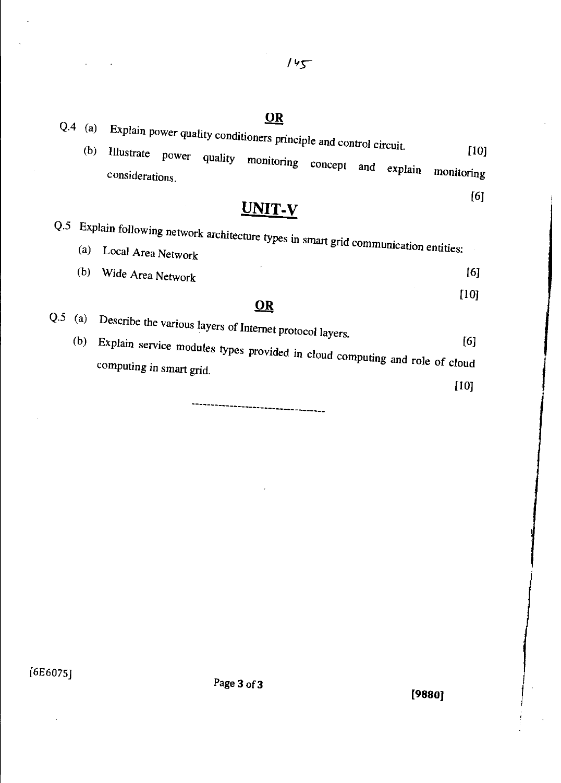Q.4 (a) Explain power quality conditioners principle and control circuit. (b) Illustrate power quality monitor  $\mathbb{R}$  . The control circuit. [10] quality monitoring concept and explain monitoring considerations. [6] **UNIT-v**  Q.5 Explain following network architecture types in smart grid communication entities: (a) Local Area Network (b) Wide Area Network [6] [10] **OR**  Q.5 (a) Describe the various layers of Internet protocol layers.  $(b)$ [6] Figure service modules types provided in cloud computing and role of cloud computing in smart grid.

\*\*\*\*\*\*\*\*\*\*\*\*\*\*\*\*\*\*\*\*\*\*\*\*\*\*\*\*

[6E6075]

**[9880]** 

 $145$ 

### **OR**

[10]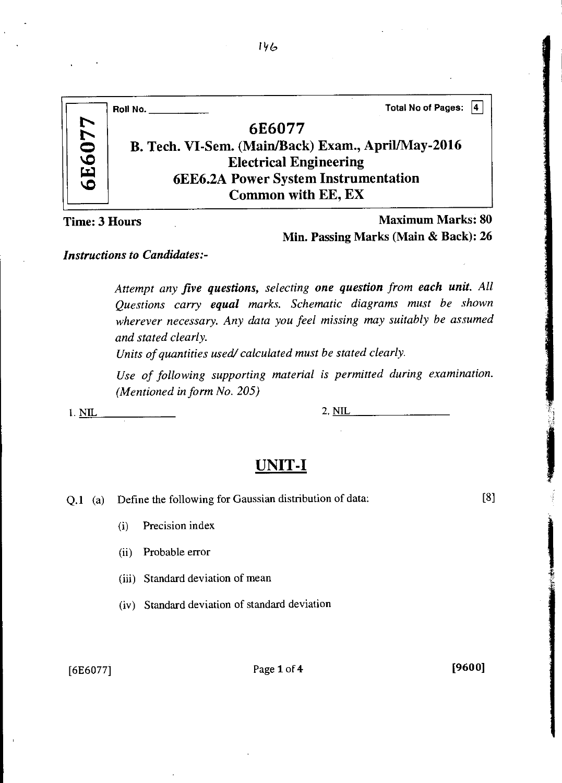|       | Total No of Pages:  4<br>Roll No.                  |
|-------|----------------------------------------------------|
|       | 6E6077                                             |
| 6E607 | B. Tech. VI-Sem. (Main/Back) Exam., April/May-2016 |
|       | <b>Electrical Engineering</b>                      |
|       | <b>6EE6.2A Power System Instrumentation</b>        |
|       | Common with EE, EX                                 |
|       | ം പ<br><b>Br</b> 1                                 |

Time: 3 Hours Maximum Marks: 80 Min. Passing Marks (Main & Back): 26

#### *Instructions to Candidates:-*

*Attempt any five questions, selecting one question from each unit. All Questions carry equal marks. Schematic diagrams must be shown wherever necessary. Any data you feel missing may suitably be assumed and stated clearly.* 

*Units of quantities used/ calculated must be stated clearly.* 

*Use of following supporting material is permitted during examination. (Mentioned in form No. 205)* 

1. NIL 2. NIL

### **UNIT-I**

Q.1 (a) Define the following for Gaussian distribution of data: [8]

(i) Precision index

(ii) Probable error

(iii) Standard deviation of mean

(iv) Standard deviation of standard deviation

[6E6077] Page 1 of **4 [9600]** 

 $146$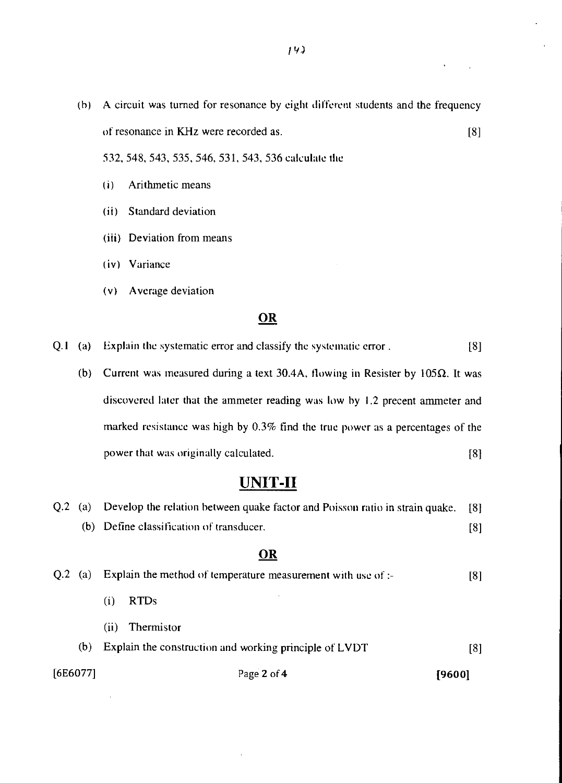(h) A circuit was turned for resonance by eight different students and the frequency of resonance in KHz were recorded as. [8]

532, 548, 543, 535, 546, 531, 543, 536 calculate the

- (i) Arithmetic means
- (ii) Standard deviation
- (iii) Deviation from means
- (iv) Variance
- (v) Average deviation

#### OR

Q.1 (a) Explain the systematic error and classify the systematic error . [8]

(b) Current was measured during a text 30.4A, flowing in Resister by 105 $\Omega$ . It was discovered later that the ammeter reading was low by 1.2 precent ammeter and marked resistance was high by 0.3% find the true power as a percentages of the power that was originally calculated. [8]

### **UNIT-II**

| Q.2<br>(a) | Develop the relation between quake factor and Poisson ratio in strain quake. | [8] |
|------------|------------------------------------------------------------------------------|-----|
|            | (b) Define classification of transducer.                                     | [8] |
|            | <b>OR</b>                                                                    |     |
| O.2<br>(a) | Explain the method of temperature measurement with use of :-                 | [8] |
|            | RTD <sub>s</sub><br>(i)                                                      |     |
|            | Thermistor<br>(ii)                                                           |     |
| (b)        | Explain the construction and working principle of LVDT                       | [8] |
| [6E6077]   | Page 2 of 4<br>[9600]                                                        |     |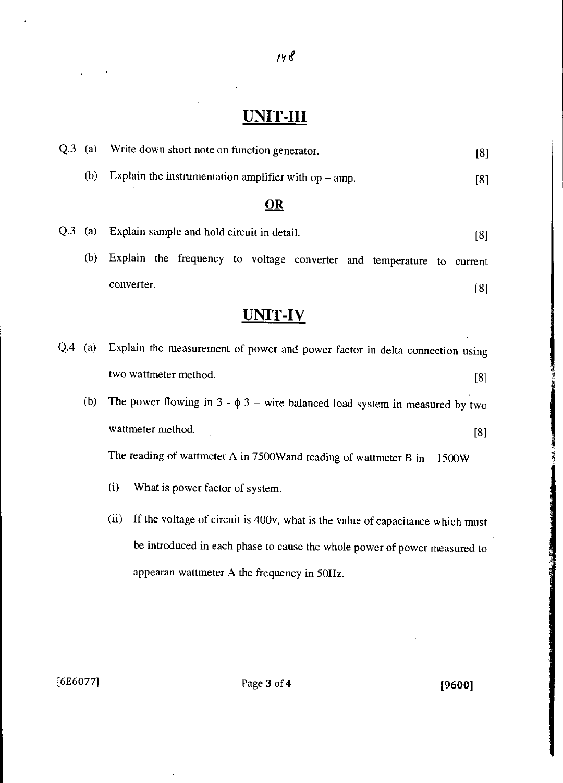# UNIT-III

 $148$ 

| $Q.3$ (a) |     | Write down short note on function generator.                                           | [8] |
|-----------|-----|----------------------------------------------------------------------------------------|-----|
|           | (b) | Explain the instrumentation amplifier with $op - amp$ .                                | [8] |
|           |     | $\overline{\mathbf{OR}}$                                                               |     |
| Q.3       | (a) | Explain sample and hold circuit in detail.                                             | [8] |
|           | (b) | Explain the frequency to voltage converter and temperature to current                  |     |
|           |     | converter.                                                                             | [8] |
|           |     | UNIT-IV                                                                                |     |
| Q4        | (a) | Explain the measurement of power and power factor in delta connection using            |     |
|           |     | two wattmeter method.                                                                  | [8] |
|           | (b) | The power flowing in $3 - \phi 3$ – wire balanced load system in measured by two       |     |
|           |     | wattmeter method.                                                                      | [8] |
|           |     | The reading of wattmeter A in 7500W and reading of wattmeter B in $- 1500W$            |     |
|           |     | (i)<br>What is power factor of system.                                                 |     |
|           |     | (ii)<br>If the voltage of circuit is 400v, what is the value of capacitance which must |     |
|           |     | be introduced in each phase to cause the whole power of power measured to              |     |
|           |     | appearan wattmeter A the frequency in 50Hz.                                            |     |
|           |     |                                                                                        |     |
|           |     |                                                                                        |     |

[6E6077] Page 3 of 4 [9600]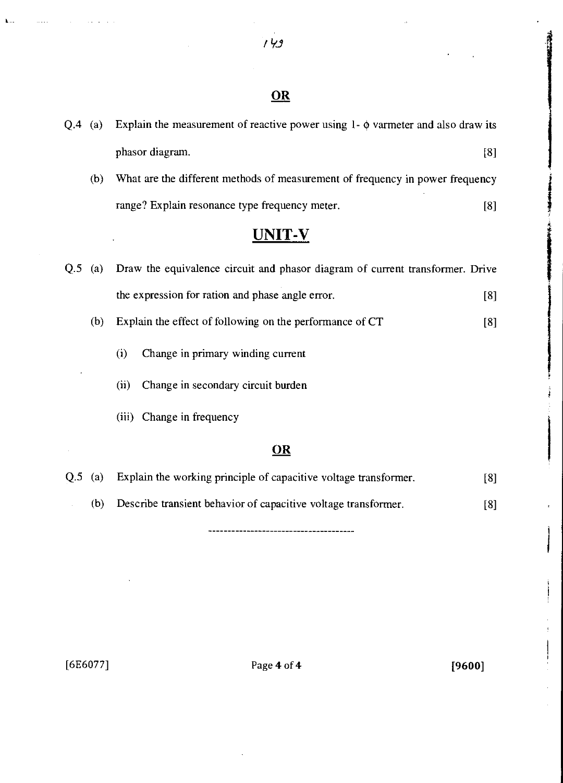# **OR**

| $Q.4$ (a) |     | Explain the measurement of reactive power using $1 - \phi$ varmeter and also draw its |     |
|-----------|-----|---------------------------------------------------------------------------------------|-----|
|           |     | phasor diagram.                                                                       | [8] |
|           | (b) | What are the different methods of measurement of frequency in power frequency         |     |
|           |     | range? Explain resonance type frequency meter.                                        | [8] |
|           |     | <b>UNIT-V</b>                                                                         |     |
| Q.5       | (a) | Draw the equivalence circuit and phasor diagram of current transformer. Drive         |     |
|           |     | the expression for ration and phase angle error.                                      | [8] |
|           | (b) | Explain the effect of following on the performance of CT                              | [8] |
|           |     | (i)<br>Change in primary winding current                                              |     |
|           |     | Change in secondary circuit burden<br>(ii)                                            |     |
|           |     | (iii) Change in frequency                                                             |     |
|           |     | $\underline{OR}$                                                                      |     |
| Q.5       | (a) | Explain the working principle of capacitive voltage transformer.                      | [8] |
|           | (b) | Describe transient behavior of capacitive voltage transformer.                        | [8] |

 $\mathbf{k}$  .

[6E6077] Page **4** of **4 [9600]**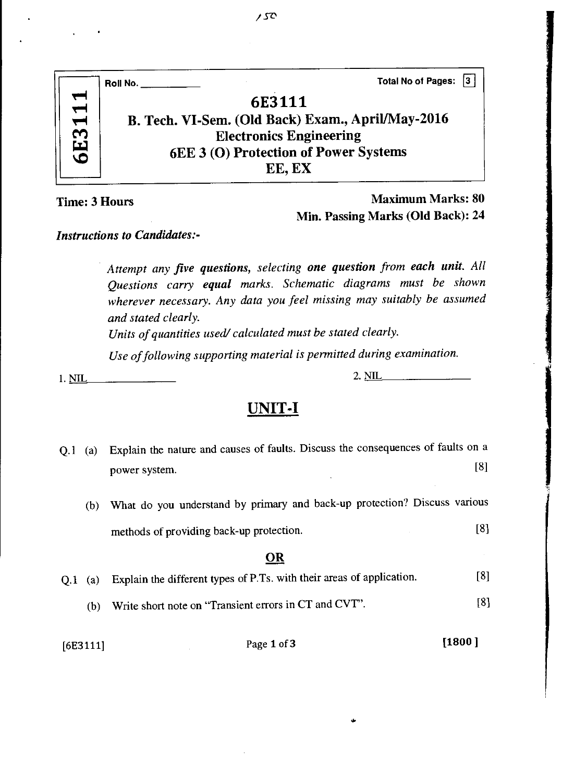|        | <b>Total No of Pages:</b><br>Roll No.             |
|--------|---------------------------------------------------|
|        | 6E3111                                            |
| 6E3111 | B. Tech. VI-Sem. (Old Back) Exam., April/May-2016 |
|        | <b>Electronics Engineering</b>                    |
|        | 6EE 3 (O) Protection of Power Systems             |
|        | EE, EX                                            |
|        |                                                   |

Maximum Marks: 80 Min. Passing Marks (Old Back): 24

2. NIL

*Instructions to Candidates:-* 

*Attempt any five questions, selecting one question from each unit. All Questions carry equal marks. Schematic diagrams must be shown wherever necessary. Any data you feel missing may suitably be assumed and stated clearly.* 

*Units of quantities used/ calculated must be stated clearly.* 

*Use of following supporting material is permitted during examination.* 

1. NIL

### **UNIT-I**

| Q.1 | (a) | Explain the nature and causes of faults. Discuss the consequences of faults on a |                   |
|-----|-----|----------------------------------------------------------------------------------|-------------------|
|     |     | power system.                                                                    | [8]               |
|     | (b) | What do you understand by primary and back-up protection? Discuss various        |                   |
|     |     | methods of providing back-up protection.                                         | $\lceil 8 \rceil$ |
|     |     | OR                                                                               |                   |
| O.1 | (a) | Explain the different types of P.Ts. with their areas of application.            | [8]               |
|     | (b) | Write short note on "Transient errors in CT and CVT".                            | [8]               |

[6E3111] Page **1** of 3 **[1800 ]**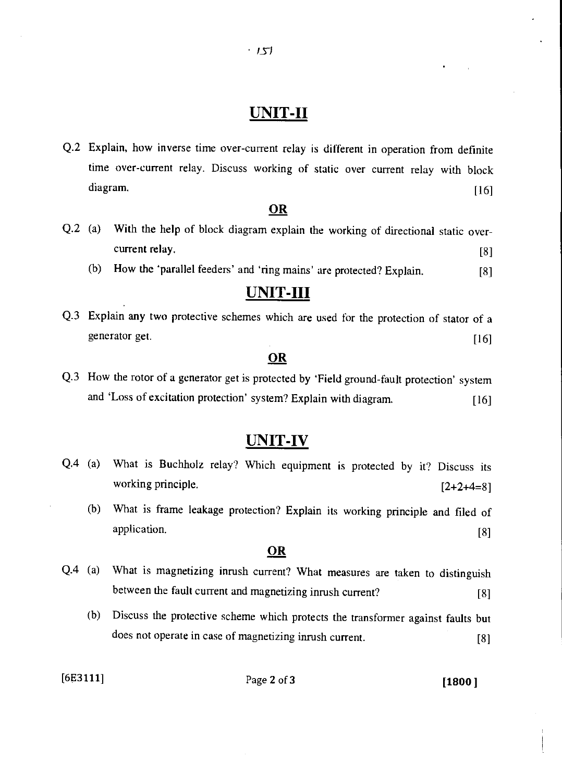# **UNIT-II**

Q.2 Explain, how inverse time over-current relay is different in operation from definite time over-current relay. Discuss working of static over current relay with block Explain, how inverse time over-current relay is different in operation from definite<br>time over-current relay. Discuss working of static over current relay with block<br>diagram. [16]

#### OR

- Q.2 (a) With the help of block diagram explain the working of directional static overcurrent relay. [8]
	- (b) How the 'parallel feeders' and 'ring mains' are protected? Explain. [8]

# **UNIT-III**

Q.3 Explain any two protective schemes which are used for the protection of stator of a generator get. [16]

#### **OR**

Q.3 How the rotor of a generator get is protected by 'Field ground-fault protection' system and 'Loss of excitation protection' system? Explain with diagram. [16]

### **UNIT-IV**

- Q.4 (a) What is Buchholz relay? Which equipment is protected by it? Discuss its working principle.  $[2+2+4=8]$ 
	- (b) What is frame leakage protection? Explain its working principle and filed of application. [8]

#### **OR**

- Q.4 (a) What is magnetizing inrush current? What measures are taken to distinguish between the fault current and magnetizing inrush current? [8]
	- (b) Discuss the protective scheme which protects the transformer against faults but does not operate in case of magnetizing inrush current. [8]

[6E3111] Page 2 of 3 **[1800 ]**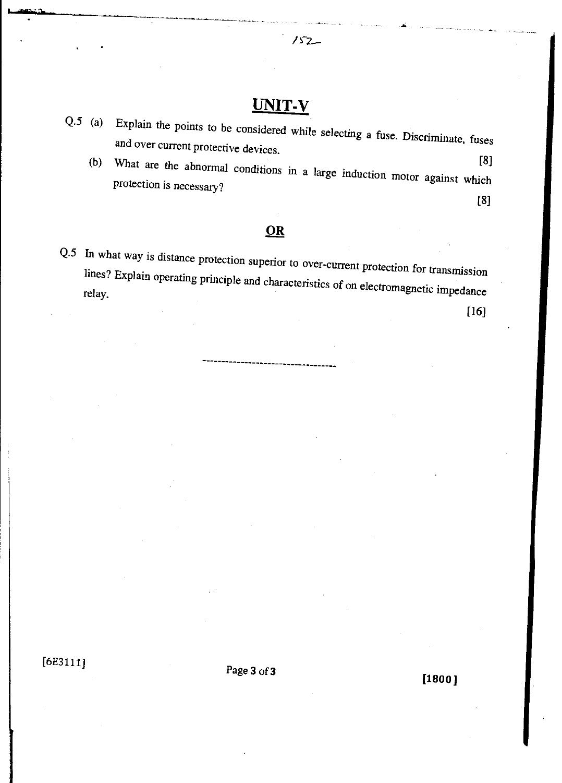# UNIT-V

 $152 -$ 

- Q.5 (a) Explain the points to *be* considered while selecting a fuse. Discriminate, fuses and over current protective devices.
	- (b) What are the abnormal conditions in a large induction [8] protection is necessary? motor against which [8]

### **OR**

Q.5 In what way is distance protection superior to over-current protection for transmission lines. Explain operating principle and characteristics of on electromagnetic impulsed relay.

[16]

[6E3111] Page 3 of 3

**[1800 ]**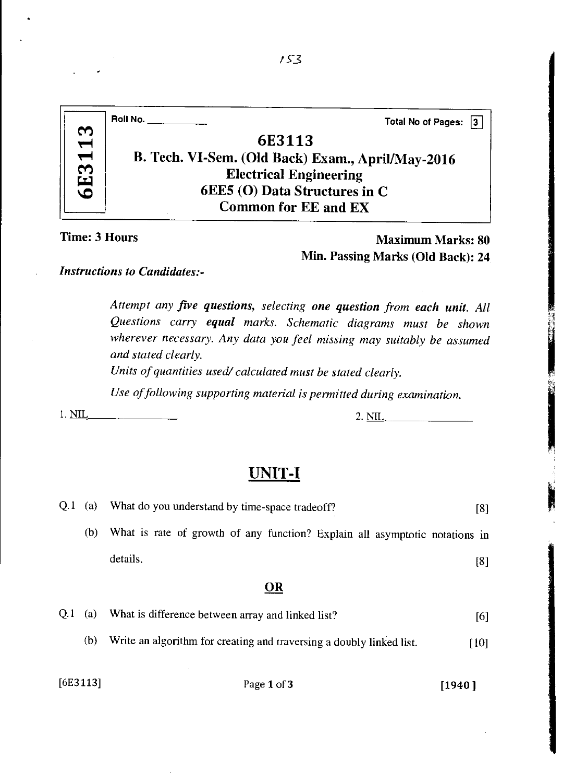|      | Roll No. $\_\_$<br><b>Total No of Pages:</b><br>13 |
|------|----------------------------------------------------|
| 13   | 6E3113                                             |
| 6E31 | B. Tech. VI-Sem. (Old Back) Exam., April/May-2016  |
|      | <b>Electrical Engineering</b>                      |
|      | 6EE5 (O) Data Structures in C                      |
|      | <b>Common for EE and EX</b>                        |

Maximum Marks: 80 Min. Passing Marks (Old Back): 24

*Instructions to Candidates:-* 

*Attempt any five questions, selecting one question from each unit. All Questions carry equal marks. Schematic diagrams must be shown wherever necessary. Any data you feel missing may suitably be assumed and stated clearly.* 

*Units of quantities used/ calculated must be stated clearly.* 

*Use of following supporting material is permitted during examination.* 

# 1. <u>NIL 2. NIL</u> 2. NIL 2. NIL

### **UNIT-I**

| O.1 | (a) | What do you understand by time-space tradeoff?                              | [8]  |
|-----|-----|-----------------------------------------------------------------------------|------|
|     | (b) | What is rate of growth of any function? Explain all asymptotic notations in |      |
|     |     | details.                                                                    | [8]  |
|     |     | <b>OR</b>                                                                   |      |
| O.1 | (a) | What is difference between array and linked list?                           | [6]  |
|     | (b) | Write an algorithm for creating and traversing a doubly linked list.        | [10] |
|     |     |                                                                             |      |

[6E3113] Page 1 of 3 [1940]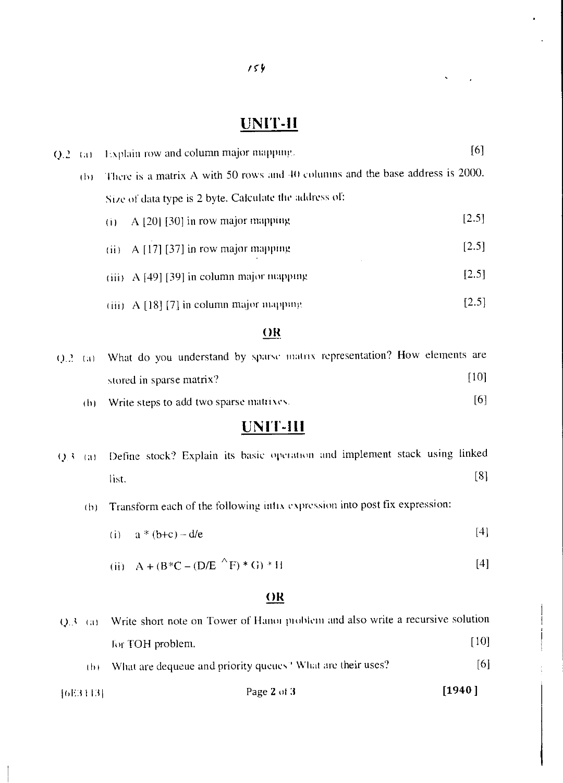# **UNIT-II**

 $\hat{\mathbf{v}}$ 

 $\cdot$ 

| $Q.2$ (a) |     | Explain row and column major mapping.                                         | [6]   |
|-----------|-----|-------------------------------------------------------------------------------|-------|
| (D)       |     | There is a matrix A with 50 rows and 40 columns and the base address is 2000. |       |
|           |     | Size of data type is 2 byte. Calculate the address of:                        |       |
|           | (i) | A [20] [30] in row major mapping                                              | [2.5] |
|           |     | $(ii)$ A [17] [37] in row major mapping                                       | [2.5] |
|           |     | $(iii)$ A [49] [39] in column major mapping                                   | [2.5] |
|           |     | (iii) A [18] [7] in column major mapping                                      | [2.5] |
|           |     | $\Omega$                                                                      |       |

|  | $Q.2$ (a) What do you understand by sparse matrix representation? How elements are |      |  |
|--|------------------------------------------------------------------------------------|------|--|
|  | stored in sparse matrix?                                                           | [10] |  |
|  |                                                                                    |      |  |

(h) Write steps to add two sparse matrixes.  $[6]$ 

# **UNIT-III**

| Q.3 (a) Define stock? Explain its basic operation and implement stack using linked |  |  |  |  |     |
|------------------------------------------------------------------------------------|--|--|--|--|-----|
| -list.                                                                             |  |  |  |  | [8] |

- (b) Transform each of the following inlix expression into post fix expression:
	- (i)  $a * (b+c) d/e$  [4]

(ii) 
$$
A + (B*C - (D/E^{-\wedge}F) * G) * H
$$
 [4]

### **OR**

| - 1 b F = | What are dequeue and priority queues <sup>3</sup> What are their uses?                   | [6]  |
|-----------|------------------------------------------------------------------------------------------|------|
|           | for TOH problem.                                                                         | [10] |
|           | $Q.3$ (a) Write short note on Tower of Hanoi problem and also write a recursive solution |      |